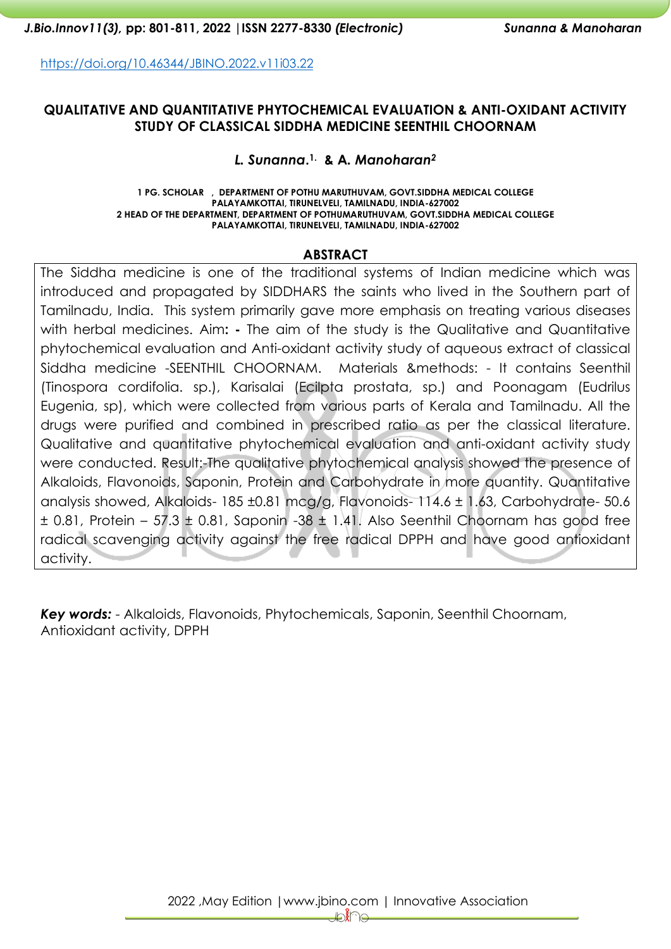<https://doi.org/10.46344/JBINO.2022.v11i03.22>

### **QUALITATIVE AND QUANTITATIVE PHYTOCHEMICAL EVALUATION & ANTI-OXIDANT ACTIVITY STUDY OF CLASSICAL SIDDHA MEDICINE SEENTHIL CHOORNAM**

### *L. Sunanna***. 1. & A***. Manoharan<sup>2</sup>*

**1 PG. SCHOLAR , DEPARTMENT OF POTHU MARUTHUVAM, GOVT.SIDDHA MEDICAL COLLEGE PALAYAMKOTTAI, TIRUNELVELI, TAMILNADU, INDIA-627002 2 HEAD OF THE DEPARTMENT, DEPARTMENT OF POTHUMARUTHUVAM, GOVT.SIDDHA MEDICAL COLLEGE PALAYAMKOTTAI, TIRUNELVELI, TAMILNADU, INDIA-627002**

#### **ABSTRACT**

The Siddha medicine is one of the traditional systems of Indian medicine which was introduced and propagated by SIDDHARS the saints who lived in the Southern part of Tamilnadu, India. This system primarily gave more emphasis on treating various diseases with herbal medicines. Aim**: -** The aim of the study is the Qualitative and Quantitative phytochemical evaluation and Anti-oxidant activity study of aqueous extract of classical Siddha medicine -SEENTHIL CHOORNAM. Materials &methods: - It contains Seenthil (Tinospora cordifolia. sp.), Karisalai (Ecilpta prostata, sp.) and Poonagam (Eudrilus Eugenia, sp), which were collected from various parts of Kerala and Tamilnadu. All the drugs were purified and combined in prescribed ratio as per the classical literature. Qualitative and quantitative phytochemical evaluation and anti-oxidant activity study were conducted. Result:-The qualitative phytochemical analysis showed the presence of Alkaloids, Flavonoids, Saponin, Protein and Carbohydrate in more quantity. Quantitative analysis showed, Alkaloids- 185 ±0.81 mcg/g, Flavonoids- 114.6 ± 1.63, Carbohydrate- 50.6  $\pm$  0.81, Protein – 57.3  $\pm$  0.81, Saponin -38  $\pm$  1.41. Also Seenthil Choornam has good free radical scavenging activity against the free radical DPPH and have good antioxidant activity.

*Key words:* - Alkaloids, Flavonoids, Phytochemicals, Saponin, Seenthil Choornam, Antioxidant activity, DPPH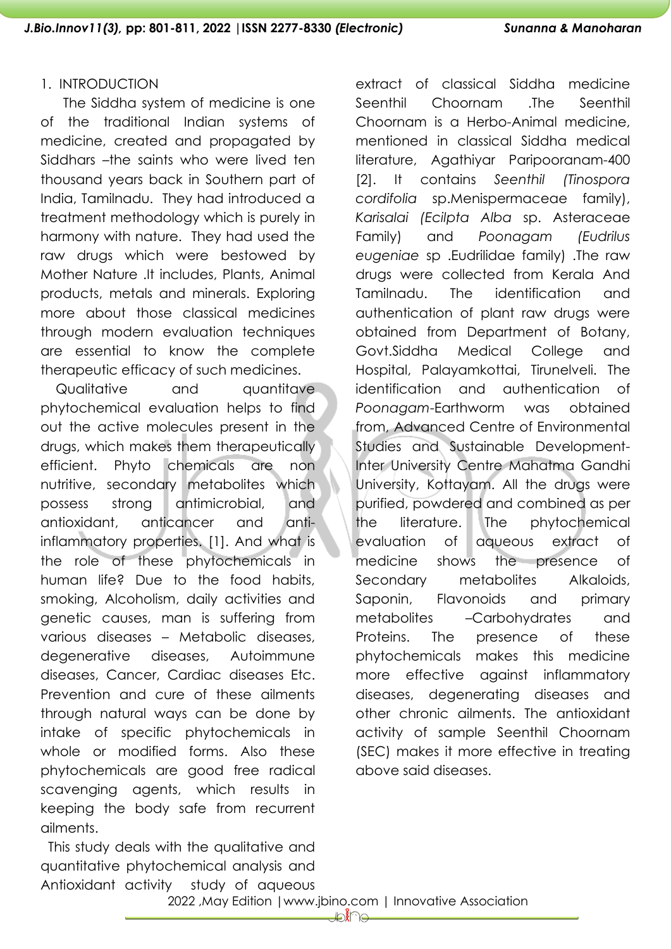#### 1. INTRODUCTION

 The Siddha system of medicine is one of the traditional Indian systems of medicine, created and propagated by Siddhars –the saints who were lived ten thousand years back in Southern part of India, Tamilnadu. They had introduced a treatment methodology which is purely in harmony with nature. They had used the raw drugs which were bestowed by Mother Nature .It includes, Plants, Animal products, metals and minerals. Exploring more about those classical medicines through modern evaluation techniques are essential to know the complete therapeutic efficacy of such medicines.

Qualitative and quantitave phytochemical evaluation helps to find out the active molecules present in the drugs, which makes them therapeutically efficient. Phyto chemicals are non nutritive, secondary metabolites which possess strong antimicrobial, and antioxidant, anticancer and antiinflammatory properties. [1]. And what is the role of these phytochemicals in human life? Due to the food habits, smoking, Alcoholism, daily activities and genetic causes, man is suffering from various diseases – Metabolic diseases, degenerative diseases, Autoimmune diseases, Cancer, Cardiac diseases Etc. Prevention and cure of these ailments through natural ways can be done by intake of specific phytochemicals in whole or modified forms. Also these phytochemicals are good free radical scavenging agents, which results in keeping the body safe from recurrent ailments.

 This study deals with the qualitative and quantitative phytochemical analysis and Antioxidant activity study of aqueous

extract of classical Siddha medicine Seenthil Choornam .The Seenthil Choornam is a Herbo-Animal medicine, mentioned in classical Siddha medical literature, Agathiyar Paripooranam-400 [2]. It contains *Seenthil (Tinospora cordifolia* sp.Menispermaceae family), *Karisalai (Ecilpta Alba* sp. Asteraceae Family) and *Poonagam (Eudrilus eugeniae* sp .Eudrilidae family) .The raw drugs were collected from Kerala And Tamilnadu. The identification and authentication of plant raw drugs were obtained from Department of Botany, Govt.Siddha Medical College and Hospital, Palayamkottai, Tirunelveli. The identification and authentication of *Poonagam*-Earthworm was obtained from, Advanced Centre of Environmental Studies and Sustainable Development-Inter University Centre Mahatma Gandhi University, Kottayam. All the drugs were purified, powdered and combined as per the literature. The phytochemical evaluation of aqueous extract of medicine shows the presence of Secondary metabolites Alkaloids, Saponin, Flavonoids and primary metabolites –Carbohydrates and Proteins. The presence of these phytochemicals makes this medicine more effective against inflammatory diseases, degenerating diseases and other chronic ailments. The antioxidant activity of sample Seenthil Choornam (SEC) makes it more effective in treating above said diseases.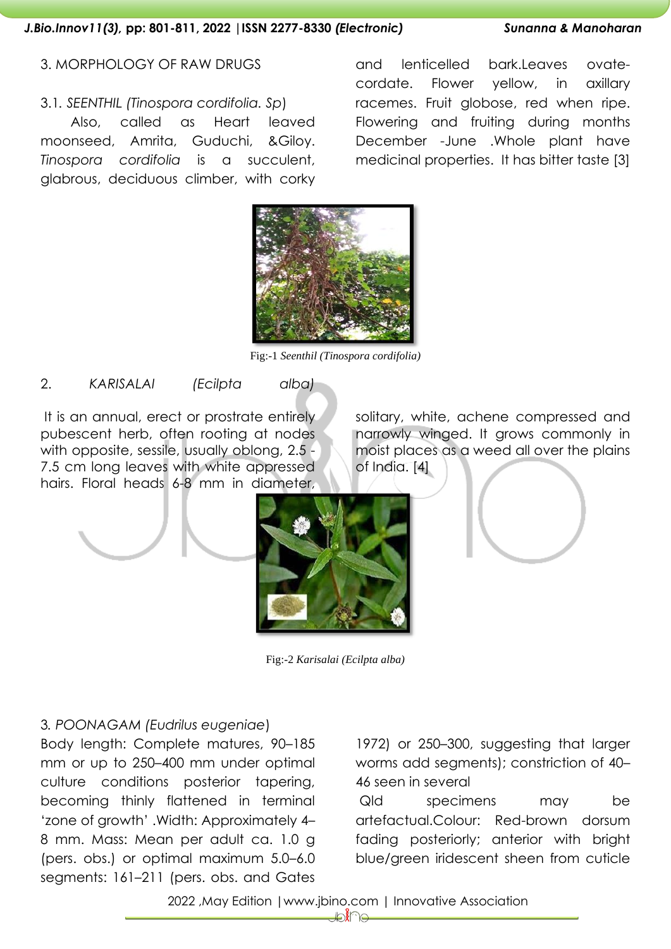#### 3. MORPHOLOGY OF RAW DRUGS

### 3.1*. SEENTHIL (Tinospora cordifolia. Sp*)

 Also, called as Heart leaved moonseed, Amrita, Guduchi, &Giloy. *Tinospora cordifolia* is a succulent, glabrous, deciduous climber, with corky

and lenticelled bark.Leaves ovatecordate. Flower yellow, in axillary racemes. Fruit globose, red when ripe. Flowering and fruiting during months December -June .Whole plant have medicinal properties. It has bitter taste [3]



Fig:-1 *Seenthil (Tinospora cordifolia)*

2. *KARISALAI (Ecilpta alba)*

It is an annual, erect or prostrate entirely pubescent herb, often rooting at nodes with opposite, sessile, usually oblong, 2.5 -7.5 cm long leaves with white appressed hairs. Floral heads 6-8 mm in diameter,

solitary, white, achene compressed and narrowly winged. It grows commonly in moist places as a weed all over the plains of India. [4]



Fig:-2 *Karisalai (Ecilpta alba)*

3*. POONAGAM (Eudrilus eugeniae*)

Body length: Complete matures, 90–185 mm or up to 250–400 mm under optimal culture conditions posterior tapering, becoming thinly flattened in terminal 'zone of growth' .Width: Approximately 4– 8 mm. Mass: Mean per adult ca. 1.0 g (pers. obs.) or optimal maximum 5.0–6.0 segments: 161–211 (pers. obs. and Gates

1972) or 250–300, suggesting that larger worms add segments); constriction of 40– 46 seen in several

Qld specimens may be artefactual.Colour: Red-brown dorsum fading posteriorly; anterior with bright blue/green iridescent sheen from cuticle

2022 ,May Edition |www.jbino.com | Innovative Association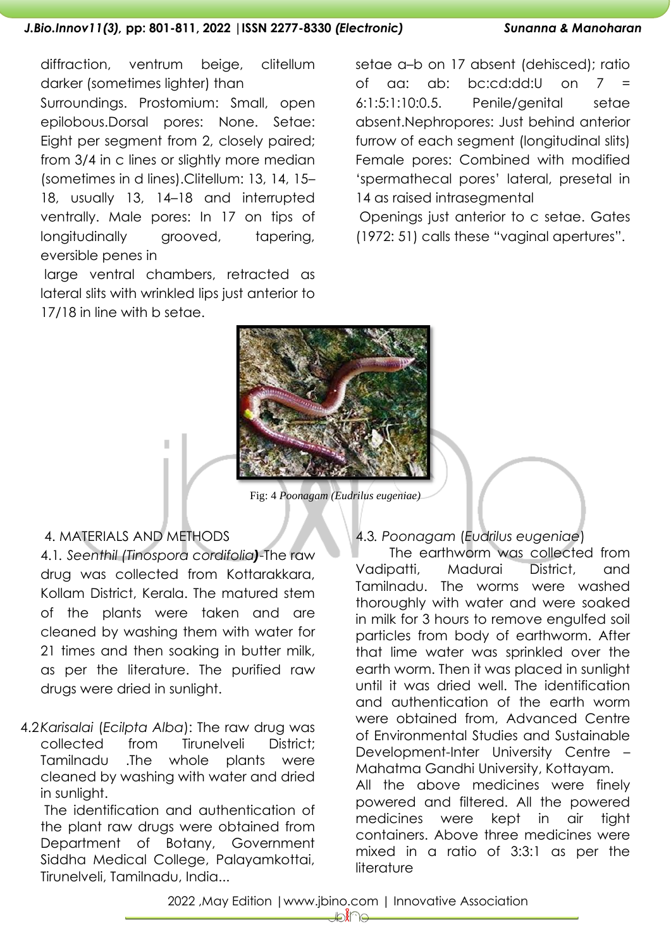#### *J.Bio.Innov11(3),* **pp: 801-811, 2022 |ISSN 2277-8330** *(Electronic) Sunanna & Manoharan*

diffraction, ventrum beige, clitellum darker (sometimes lighter) than Surroundings. Prostomium: Small, open epilobous.Dorsal pores: None. Setae: Eight per segment from 2, closely paired; from 3/4 in c lines or slightly more median (sometimes in d lines).Clitellum: 13, 14, 15– 18, usually 13, 14–18 and interrupted ventrally. Male pores: In 17 on tips of longitudinally grooved, tapering, eversible penes in

large ventral chambers, retracted as lateral slits with wrinkled lips just anterior to 17/18 in line with b setae.

setae a–b on 17 absent (dehisced); ratio of aa: ab: bc:cd:dd:U on 7 = 6:1:5:1:10:0.5. Penile/genital setae absent.Nephropores: Just behind anterior furrow of each segment (longitudinal slits) Female pores: Combined with modified 'spermathecal pores' lateral, presetal in 14 as raised intrasegmental

Openings just anterior to c setae. Gates (1972: 51) calls these "vaginal apertures".



Fig: 4 *Poonagam (Eudrilus eugeniae)*

## 4. MATERIALS AND METHODS

4.1*. Seenthil (Tinospora cordifolia)*-The raw drug was collected from Kottarakkara, Kollam District, Kerala. The matured stem of the plants were taken and are cleaned by washing them with water for 21 times and then soaking in butter milk, as per the literature. The purified raw drugs were dried in sunlight.

4.2*Karisalai* (*Ecilpta Alba*): The raw drug was collected from Tirunelveli District; Tamilnadu .The whole plants were cleaned by washing with water and dried in sunlight.

The identification and authentication of the plant raw drugs were obtained from Department of Botany, Government Siddha Medical College, Palayamkottai, Tirunelveli, Tamilnadu, India...

## 4.3*. Poonagam* (*Eudrilus eugeniae*)

 The earthworm was collected from Vadipatti, Madurai District, and Tamilnadu. The worms were washed thoroughly with water and were soaked in milk for 3 hours to remove engulfed soil particles from body of earthworm. After that lime water was sprinkled over the earth worm. Then it was placed in sunlight until it was dried well. The identification and authentication of the earth worm were obtained from, Advanced Centre of Environmental Studies and Sustainable Development-Inter University Centre – Mahatma Gandhi University, Kottayam. All the above medicines were finely powered and filtered. All the powered medicines were kept in air tight containers. Above three medicines were mixed in a ratio of 3:3:1 as per the

2022 ,May Edition |www.jbino.com | Innovative Association

literature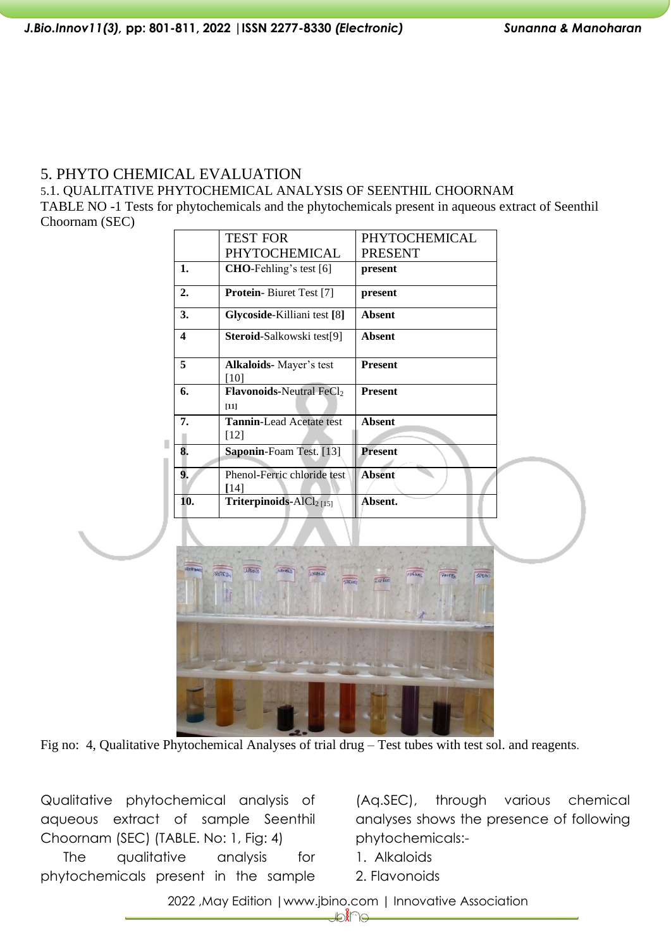# 5. PHYTO CHEMICAL EVALUATION

5.1. QUALITATIVE PHYTOCHEMICAL ANALYSIS OF SEENTHIL CHOORNAM

TABLE NO -1 Tests for phytochemicals and the phytochemicals present in aqueous extract of Seenthil Choornam (SEC)

|                         | <b>TEST FOR</b>                                                      | PHYTOCHEMICAL            |
|-------------------------|----------------------------------------------------------------------|--------------------------|
|                         | PHYTOCHEMICAL                                                        | <b>PRESENT</b>           |
| 1.                      | CHO-Fehling's test [6]                                               | present                  |
| 2.                      | Protein-Biuret Test [7]                                              | present                  |
| 3.                      | Glycoside-Killiani test [8]                                          | <b>Absent</b>            |
| $\overline{\mathbf{4}}$ | Steroid-Salkowski test[9]                                            | <b>Absent</b>            |
| 5                       | <b>Alkaloids-</b> Mayer's test<br>[10]                               | <b>Present</b>           |
| 6.                      | <b>Flavonoids-Neutral FeCl2</b><br>$[11]$                            | <b>Present</b>           |
| 7.                      | <b>Tannin-Lead Acetate test</b><br>$[12]$                            | <b>Absent</b>            |
| 8.                      | Saponin-Foam Test. [13]                                              | Present                  |
| 9.                      | Phenol-Ferric chloride test<br>[14]                                  | <b>Absent</b>            |
| 10.                     | Triterpinoids- $AICl2[15]$                                           | Absent.                  |
|                         |                                                                      |                          |
|                         | <b>UALDED</b><br><b>A FAMILY</b><br><b>RoTC<sub>J</sub></b><br>STEAM | SPON:<br><b>Cap Five</b> |
|                         |                                                                      |                          |

Fig no: 4, Qualitative Phytochemical Analyses of trial drug – Test tubes with test sol. and reagents.

Qualitative phytochemical analysis of aqueous extract of sample Seenthil Choornam (SEC) (TABLE. No: 1, Fig: 4)

The qualitative analysis for phytochemicals present in the sample

(Aq.SEC), through various chemical analyses shows the presence of following phytochemicals:-

1. Alkaloids

2. Flavonoids

2022 ,May Edition |www.jbino.com | Innovative Association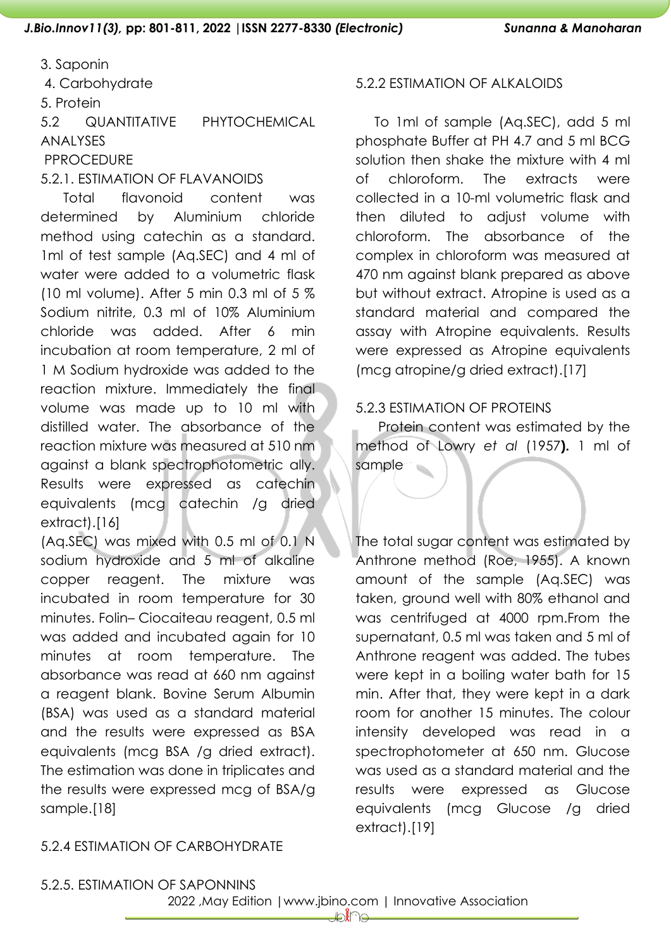3. Saponin

4. Carbohydrate

5. Protein

5.2 QUANTITATIVE PHYTOCHEMICAL ANALYSES PPROCEDURE

5.2.1. ESTIMATION OF FLAVANOIDS

Total flavonoid content was determined by Aluminium chloride method using catechin as a standard. 1ml of test sample (Aq.SEC) and 4 ml of water were added to a volumetric flask (10 ml volume). After 5 min 0.3 ml of 5 % Sodium nitrite, 0.3 ml of 10% Aluminium chloride was added. After 6 min incubation at room temperature, 2 ml of 1 M Sodium hydroxide was added to the reaction mixture. Immediately the final volume was made up to 10 ml with distilled water. The absorbance of the reaction mixture was measured at 510 nm against a blank spectrophotometric ally. Results were expressed as catechin equivalents (mcg catechin /g dried extract).[16]

(Aq.SEC) was mixed with 0.5 ml of 0.1 N sodium hydroxide and 5 ml of alkaline copper reagent. The mixture was incubated in room temperature for 30 minutes. Folin– Ciocaiteau reagent, 0.5 ml was added and incubated again for 10 minutes at room temperature. The absorbance was read at 660 nm against a reagent blank. Bovine Serum Albumin (BSA) was used as a standard material and the results were expressed as BSA equivalents (mcg BSA /g dried extract). The estimation was done in triplicates and the results were expressed mcg of BSA/g sample.[18]

# 5.2.2 ESTIMATION OF ALKALOIDS

 To 1ml of sample (Aq.SEC), add 5 ml phosphate Buffer at PH 4.7 and 5 ml BCG solution then shake the mixture with 4 ml of chloroform. The extracts were collected in a 10-ml volumetric flask and then diluted to adjust volume with chloroform. The absorbance of the complex in chloroform was measured at 470 nm against blank prepared as above but without extract. Atropine is used as a standard material and compared the assay with Atropine equivalents. Results were expressed as Atropine equivalents (mcg atropine/g dried extract).[17]

# 5.2.3 ESTIMATION OF PROTEINS

 Protein content was estimated by the method of Lowry *et al* (1957**).** 1 ml of sample

The total sugar content was estimated by Anthrone method (Roe, 1955). A known amount of the sample (Aq.SEC) was taken, ground well with 80% ethanol and was centrifuged at 4000 rpm.From the supernatant, 0.5 ml was taken and 5 ml of Anthrone reagent was added. The tubes were kept in a boiling water bath for 15 min. After that, they were kept in a dark room for another 15 minutes. The colour intensity developed was read in a spectrophotometer at 650 nm. Glucose was used as a standard material and the results were expressed as Glucose equivalents (mcg Glucose /g dried extract).[19]

# 5.2.4 ESTIMATION OF CARBOHYDRATE

5.2.5. ESTIMATION OF SAPONNINS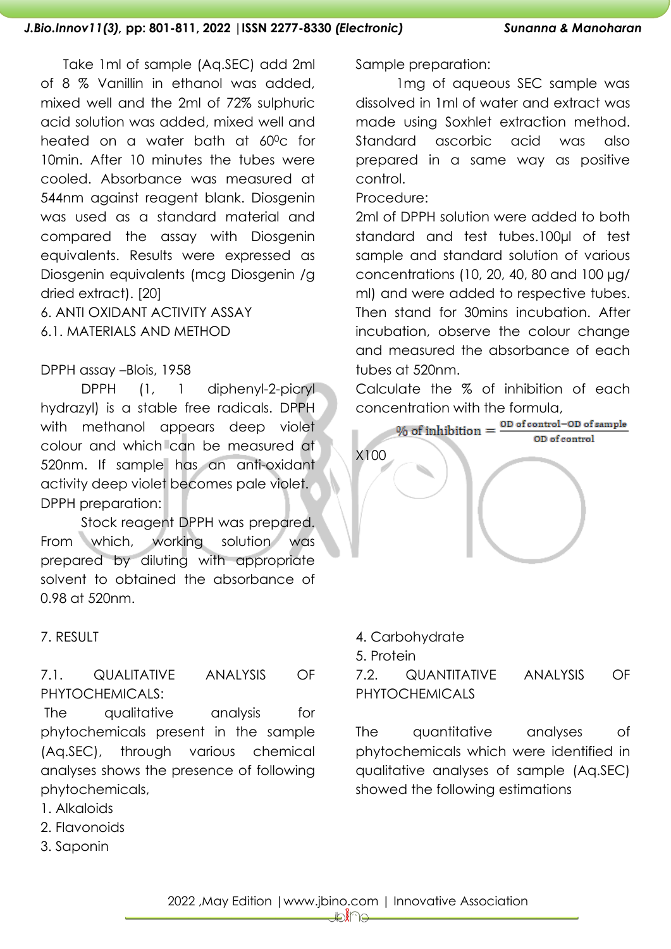Take 1ml of sample (Aq.SEC) add 2ml of 8 % Vanillin in ethanol was added, mixed well and the 2ml of 72% sulphuric acid solution was added, mixed well and heated on a water bath at 60°c for 10min. After 10 minutes the tubes were cooled. Absorbance was measured at 544nm against reagent blank. Diosgenin was used as a standard material and compared the assay with Diosgenin equivalents. Results were expressed as Diosgenin equivalents (mcg Diosgenin /g dried extract). [20]

6. ANTI OXIDANT ACTIVITY ASSAY 6.1. MATERIALS AND METHOD

## DPPH assay –Blois, 1958

DPPH (1, 1 diphenyl-2-picryl hydrazyl) is a stable free radicals. DPPH with methanol appears deep violet colour and which can be measured at 520nm. If sample has an anti-oxidant activity deep violet becomes pale violet. DPPH preparation:

Stock reagent DPPH was prepared. From which, working solution was prepared by diluting with appropriate solvent to obtained the absorbance of 0.98 at 520nm.

## 7. RESULT

# 7.1. QUALITATIVE ANALYSIS OF PHYTOCHEMICALS:

The qualitative analysis for phytochemicals present in the sample (Aq.SEC), through various chemical analyses shows the presence of following phytochemicals,

- 1. Alkaloids
- 2. Flavonoids
- 3. Saponin

Sample preparation:

1mg of aqueous SEC sample was dissolved in 1ml of water and extract was made using Soxhlet extraction method. Standard ascorbic acid was also prepared in a same way as positive control.

Procedure:

2ml of DPPH solution were added to both standard and test tubes.100µl of test sample and standard solution of various concentrations (10, 20, 40, 80 and 100 µg/ ml) and were added to respective tubes. Then stand for 30mins incubation. After incubation, observe the colour change and measured the absorbance of each tubes at 520nm.

Calculate the % of inhibition of each



4. Carbohydrate

5. Protein

7.2. QUANTITATIVE ANALYSIS OF PHYTOCHEMICALS

The quantitative analyses of phytochemicals which were identified in qualitative analyses of sample (Aq.SEC) showed the following estimations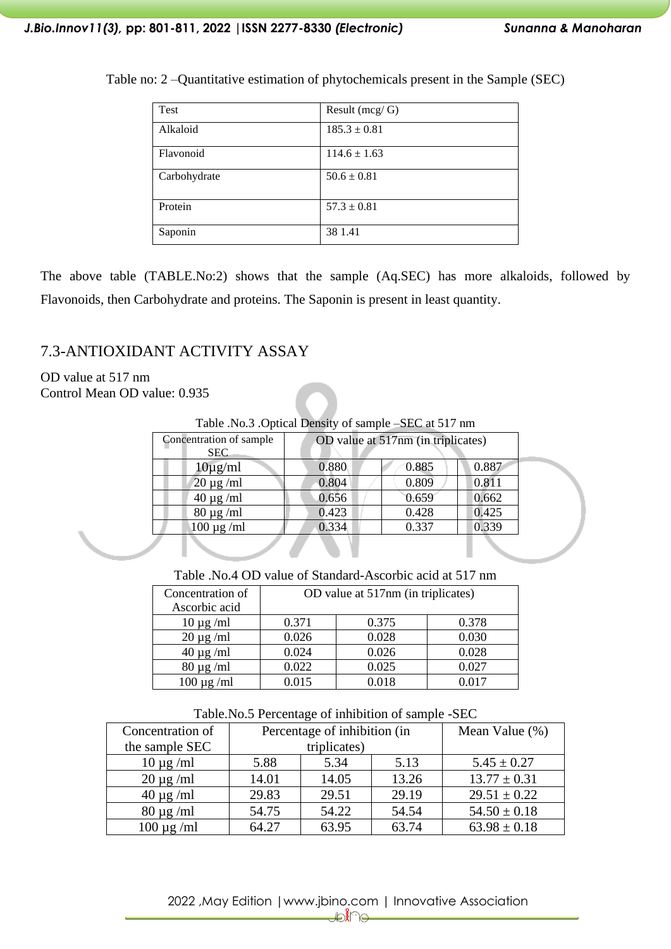| Test         | Result $(mcg/G)$ |
|--------------|------------------|
| Alkaloid     | $185.3 \pm 0.81$ |
| Flavonoid    | $114.6 \pm 1.63$ |
| Carbohydrate | $50.6 \pm 0.81$  |
| Protein      | $57.3 \pm 0.81$  |
| Saponin      | 38 1.41          |

Table no: 2 –Quantitative estimation of phytochemicals present in the Sample (SEC)

The above table (TABLE.No:2) shows that the sample (Aq.SEC) has more alkaloids, followed by Flavonoids, then Carbohydrate and proteins. The Saponin is present in least quantity.

# 7.3-ANTIOXIDANT ACTIVITY ASSAY

OD value at 517 nm Control Mean OD value: 0.935

|                                       | Table .No.3 .Optical Density of sample –SEC at 517 nm |       |       |  |
|---------------------------------------|-------------------------------------------------------|-------|-------|--|
| Concentration of sample<br><b>SEC</b> | OD value at 517nm (in triplicates)                    |       |       |  |
| $10\mu$ g/ml                          | 0.880                                                 | 0.885 | 0.887 |  |
| $20 \mu g$ /ml                        | 0.804                                                 | 0.809 | 0.811 |  |
| $40 \mu g$ /ml                        | 0.656                                                 | 0.659 | 0.662 |  |
| $80 \mu g$ /ml                        | 0.423                                                 | 0.428 | 0.425 |  |
| $100 \mu g$ /ml                       | 0.334                                                 | 0.337 | 0.339 |  |
|                                       |                                                       |       |       |  |

Table .No.4 OD value of Standard-Ascorbic acid at 517 nm

| Concentration of | OD value at 517nm (in triplicates) |       |       |  |
|------------------|------------------------------------|-------|-------|--|
| Ascorbic acid    |                                    |       |       |  |
| $10 \mu g$ /ml   | 0.371                              | 0.375 | 0.378 |  |
| $20 \mu g$ /ml   | 0.026                              | 0.028 | 0.030 |  |
| $40 \mu g$ /ml   | 0.024                              | 0.026 | 0.028 |  |
| $80 \mu g$ /ml   | 0.022                              | 0.025 | 0.027 |  |
| $100 \mu$ g/ml   | 0.015                              | 0.018 | 0.017 |  |

Table.No.5 Percentage of inhibition of sample -SEC

| Concentration of | Percentage of inhibition (in |       |       | Mean Value (%)   |
|------------------|------------------------------|-------|-------|------------------|
| the sample SEC   | triplicates)                 |       |       |                  |
| $10 \mu g$ /ml   | 5.88                         | 5.34  | 5.13  | $5.45 \pm 0.27$  |
| $20 \mu g$ /ml   | 14.01                        | 14.05 | 13.26 | $13.77 \pm 0.31$ |
| $40 \mu g$ /ml   | 29.83                        | 29.51 | 29.19 | $29.51 \pm 0.22$ |
| $80 \mu g$ /ml   | 54.75                        | 54.22 | 54.54 | $54.50 \pm 0.18$ |
| $100 \mu g$ /ml  | 64.27                        | 63.95 | 63.74 | $63.98 \pm 0.18$ |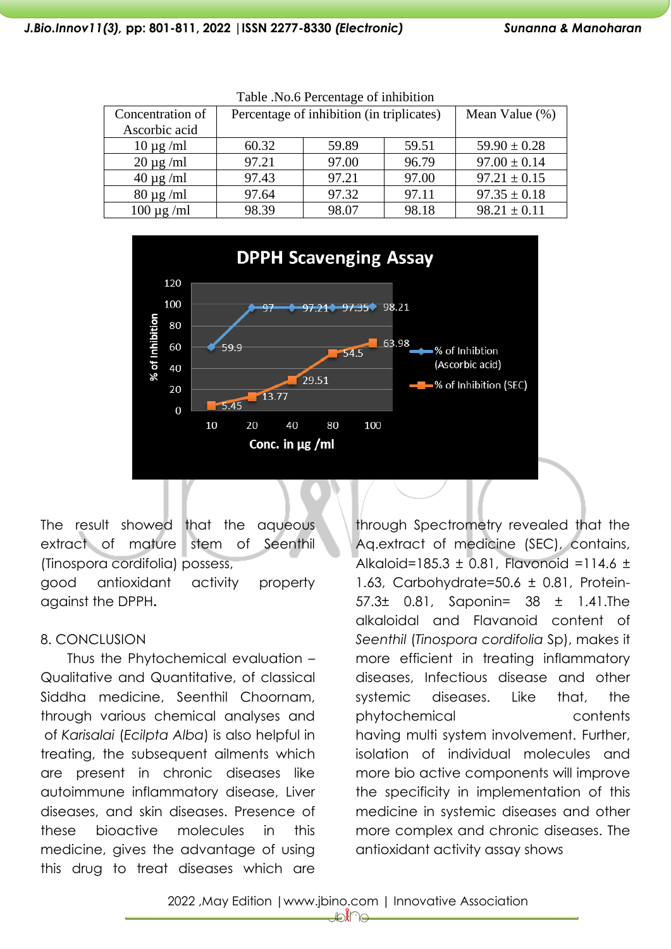| Table .i.o.o I creentage of immortion |                                           |       |       |                  |  |
|---------------------------------------|-------------------------------------------|-------|-------|------------------|--|
| Concentration of                      | Percentage of inhibition (in triplicates) |       |       | Mean Value (%)   |  |
| Ascorbic acid                         |                                           |       |       |                  |  |
| $10 \mu g$ /ml                        | 60.32                                     | 59.89 | 59.51 | $59.90 \pm 0.28$ |  |
| $20 \mu g$ /ml                        | 97.21                                     | 97.00 | 96.79 | $97.00 \pm 0.14$ |  |
| $40 \mu g$ /ml                        | 97.43                                     | 97.21 | 97.00 | $97.21 \pm 0.15$ |  |
| $80 \mu g$ /ml                        | 97.64                                     | 97.32 | 97.11 | $97.35 \pm 0.18$ |  |
| $100 \mu g$ /ml                       | 98.39                                     | 98.07 | 98.18 | $98.21 \pm 0.11$ |  |



The result showed that the aqueous extract of mature stem of Seenthil (Tinospora cordifolia) possess,

good antioxidant activity property against the DPPH**.** 

## 8. CONCLUSION

Thus the Phytochemical evaluation – Qualitative and Quantitative, of classical Siddha medicine, Seenthil Choornam, through various chemical analyses and of *Karisalai* (*Ecilpta Alba*) is also helpful in treating, the subsequent ailments which are present in chronic diseases like autoimmune inflammatory disease, Liver diseases, and skin diseases. Presence of these bioactive molecules in this medicine, gives the advantage of using this drug to treat diseases which are

through Spectrometry revealed that the Aq.extract of medicine (SEC), contains, Alkaloid=185.3  $\pm$  0.81, Flavonoid =114.6  $\pm$ 1.63, Carbohydrate=50.6 ± 0.81, Protein-57.3± 0.81, Saponin= 38 ± 1.41.The alkaloidal and Flavanoid content of *Seenthil* (*Tinospora cordifolia* Sp), makes it more efficient in treating inflammatory diseases, Infectious disease and other systemic diseases. Like that, the phytochemical contents having multi system involvement. Further, isolation of individual molecules and more bio active components will improve the specificity in implementation of this medicine in systemic diseases and other more complex and chronic diseases. The antioxidant activity assay shows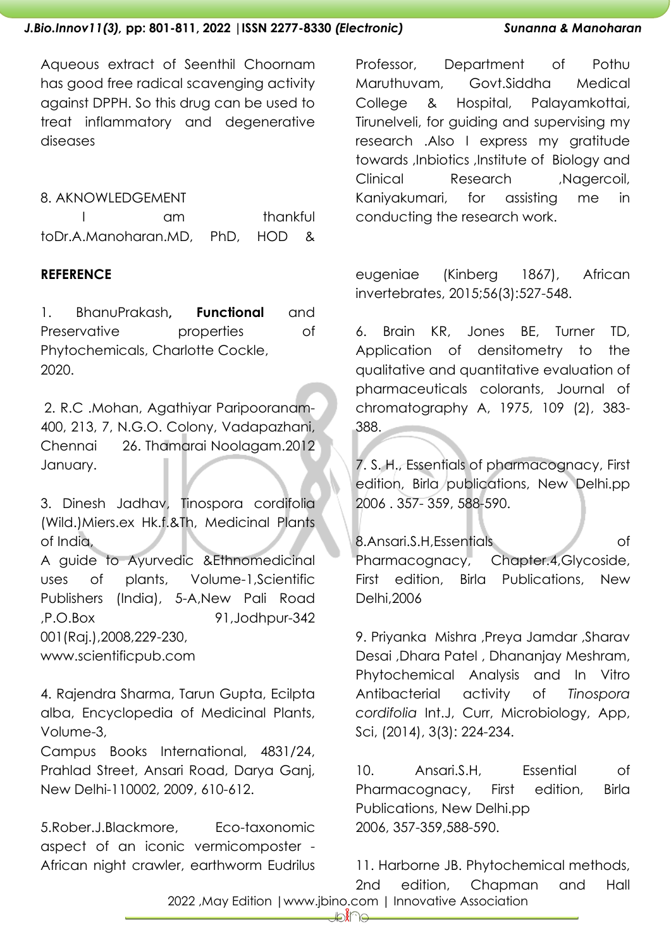Aqueous extract of Seenthil Choornam has good free radical scavenging activity against DPPH. So this drug can be used to treat inflammatory and degenerative diseases

## 8. AKNOWLEDGEMENT

|                                 | nm. |  |  | thankful |  |
|---------------------------------|-----|--|--|----------|--|
| toDr.A.Manoharan.MD, PhD, HOD & |     |  |  |          |  |

# **REFERENCE**

1. BhanuPrakash**, Functional** and Preservative properties of Phytochemicals, Charlotte Cockle, 2020.

2. R.C .Mohan, Agathiyar Paripooranam-400, 213, 7, N.G.O. Colony, Vadapazhani, Chennai 26. Thamarai Noolagam.2012 January.

3. Dinesh Jadhav, Tinospora cordifolia (Wild.)Miers.ex Hk.f.&Th, Medicinal Plants of India,

A guide to Ayurvedic &Ethnomedicinal uses of plants, Volume-1,Scientific Publishers (India), 5-A, New Pali Road ,P.O.Box 91,Jodhpur-342 001(Raj.),2008,229-230, www.scientificpub.com

4. Rajendra Sharma, Tarun Gupta, Ecilpta alba, Encyclopedia of Medicinal Plants, Volume-3,

Campus Books International, 4831/24, Prahlad Street, Ansari Road, Darya Ganj, New Delhi-110002, 2009, 610-612.

5.Rober.J.Blackmore, Eco-taxonomic aspect of an iconic vermicomposter - African night crawler, earthworm Eudrilus Professor, Department of Pothu Maruthuvam, Govt.Siddha Medical College & Hospital, Palayamkottai, Tirunelveli, for guiding and supervising my research .Also I express my gratitude towards ,Inbiotics ,Institute of Biology and Clinical Research ,Nagercoil, Kaniyakumari, for assisting me in conducting the research work.

eugeniae (Kinberg 1867), African invertebrates, 2015;56(3):527-548.

6. Brain KR, Jones BE, Turner TD, Application of densitometry to the qualitative and quantitative evaluation of pharmaceuticals colorants, Journal of chromatography A, 1975, 109 (2), 383- 388.

7. S. H., Essentials of pharmacognacy, First edition, Birla publications, New Delhi.pp 2006 . 357- 359, 588-590.

8.Ansari.S.H,Essentials of Pharmacognacy, Chapter.4,Glycoside, First edition, Birla Publications, New Delhi,2006

9. Priyanka Mishra ,Preya Jamdar ,Sharav Desai ,Dhara Patel , Dhananjay Meshram, Phytochemical Analysis and In Vitro Antibacterial activity of *Tinospora cordifolia* Int.J, Curr, Microbiology, App, Sci, (2014), 3(3): 224-234.

10. Ansari.S.H, Essential of Pharmacognacy, First edition, Birla Publications, New Delhi.pp 2006, 357-359,588-590.

 2022 ,May Edition |www.jbino.com | Innovative Association 11. Harborne JB. Phytochemical methods, 2nd edition, Chapman and Hall